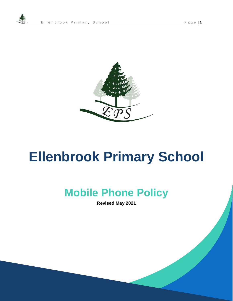

# **Ellenbrook Primary School**

## **Mobile Phone Policy**

**Revised May 2021**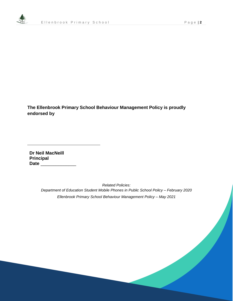

**The Ellenbrook Primary School Behaviour Management Policy is proudly endorsed by**

**Dr Neil MacNeill Principal Date** \_\_\_\_\_\_\_\_\_\_\_\_\_\_

> *Related Policies: Department of Education Student Mobile Phones in Public School Policy – February 2020 Ellenbrook Primary School Behaviour Management Policy – May 2021*